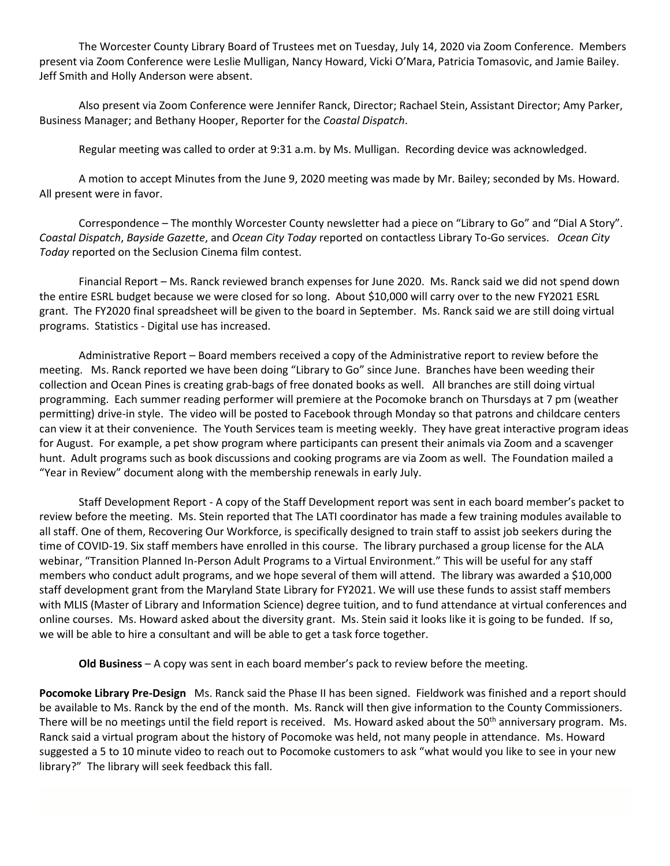The Worcester County Library Board of Trustees met on Tuesday, July 14, 2020 via Zoom Conference. Members present via Zoom Conference were Leslie Mulligan, Nancy Howard, Vicki O'Mara, Patricia Tomasovic, and Jamie Bailey. Jeff Smith and Holly Anderson were absent.

Also present via Zoom Conference were Jennifer Ranck, Director; Rachael Stein, Assistant Director; Amy Parker, Business Manager; and Bethany Hooper, Reporter for the *Coastal Dispatch*.

Regular meeting was called to order at 9:31 a.m. by Ms. Mulligan. Recording device was acknowledged.

A motion to accept Minutes from the June 9, 2020 meeting was made by Mr. Bailey; seconded by Ms. Howard. All present were in favor.

Correspondence – The monthly Worcester County newsletter had a piece on "Library to Go" and "Dial A Story". *Coastal Dispatch*, *Bayside Gazette*, and *Ocean City Today* reported on contactless Library To-Go services. *Ocean City Today* reported on the Seclusion Cinema film contest.

Financial Report – Ms. Ranck reviewed branch expenses for June 2020. Ms. Ranck said we did not spend down the entire ESRL budget because we were closed for so long. About \$10,000 will carry over to the new FY2021 ESRL grant. The FY2020 final spreadsheet will be given to the board in September. Ms. Ranck said we are still doing virtual programs. Statistics - Digital use has increased.

Administrative Report – Board members received a copy of the Administrative report to review before the meeting. Ms. Ranck reported we have been doing "Library to Go" since June. Branches have been weeding their collection and Ocean Pines is creating grab-bags of free donated books as well. All branches are still doing virtual programming. Each summer reading performer will premiere at the Pocomoke branch on Thursdays at 7 pm (weather permitting) drive-in style. The video will be posted to Facebook through Monday so that patrons and childcare centers can view it at their convenience. The Youth Services team is meeting weekly. They have great interactive program ideas for August. For example, a pet show program where participants can present their animals via Zoom and a scavenger hunt. Adult programs such as book discussions and cooking programs are via Zoom as well. The Foundation mailed a "Year in Review" document along with the membership renewals in early July.

Staff Development Report - A copy of the Staff Development report was sent in each board member's packet to review before the meeting. Ms. Stein reported that The LATI coordinator has made a few training modules available to all staff. One of them, Recovering Our Workforce, is specifically designed to train staff to assist job seekers during the time of COVID-19. Six staff members have enrolled in this course. The library purchased a group license for the ALA webinar, "Transition Planned In-Person Adult Programs to a Virtual Environment." This will be useful for any staff members who conduct adult programs, and we hope several of them will attend. The library was awarded a \$10,000 staff development grant from the Maryland State Library for FY2021. We will use these funds to assist staff members with MLIS (Master of Library and Information Science) degree tuition, and to fund attendance at virtual conferences and online courses. Ms. Howard asked about the diversity grant. Ms. Stein said it looks like it is going to be funded. If so, we will be able to hire a consultant and will be able to get a task force together.

**Old Business** – A copy was sent in each board member's pack to review before the meeting.

**Pocomoke Library Pre-Design** Ms. Ranck said the Phase II has been signed. Fieldwork was finished and a report should be available to Ms. Ranck by the end of the month. Ms. Ranck will then give information to the County Commissioners. There will be no meetings until the field report is received. Ms. Howard asked about the 50<sup>th</sup> anniversary program. Ms. Ranck said a virtual program about the history of Pocomoke was held, not many people in attendance. Ms. Howard suggested a 5 to 10 minute video to reach out to Pocomoke customers to ask "what would you like to see in your new library?" The library will seek feedback this fall.